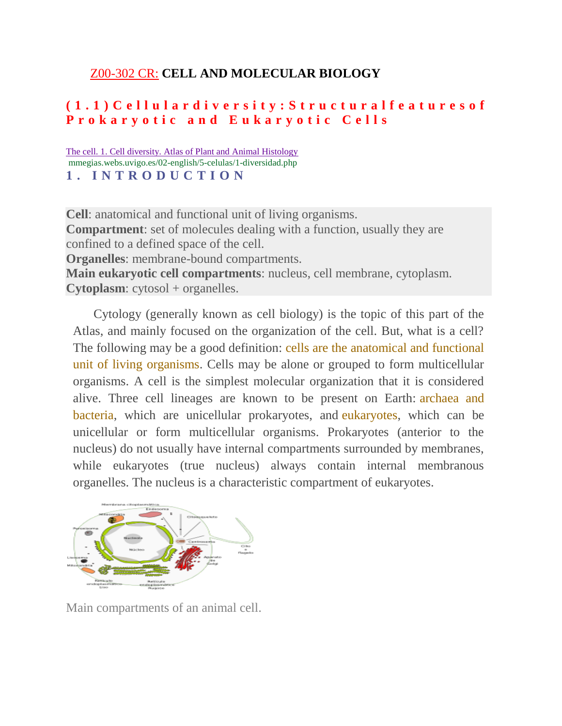# Z00-302 CR: **CELL AND MOLECULAR BIOLOGY**

# **( 1 . 1 ) C e l l u l a r d i v e r s i t y : S t r u c t u r a l f e a t u r e s o f P r o k a r y o t i c a n d E u k a r y o t i c C e l l s**

#### [The cell. 1. Cell diversity. Atlas of Plant and Animal Histology](https://www.google.co.in/url?sa=t&rct=j&q=&esrc=s&source=web&cd=8&cad=rja&uact=8&ved=0ahUKEwi-ovOpo_vPAhUSSY8KHZbUCEMQFghGMAc&url=http%3A%2F%2Fmmegias.webs.uvigo.es%2F02-english%2F5-celulas%2F1-diversidad.php&usg=AFQjCNEuguG3hXlRReitLfVhjWlX4O2piA&sig2=zeBK4IzwQ5iBlMSlRQjE5Q) mmegias.webs.uvigo.es/02-english/5-celulas/1-diversidad.php **1 . I N T R O D U C T I O N**

**Cell**: anatomical and functional unit of living organisms. **Compartment**: set of molecules dealing with a function, usually they are confined to a defined space of the cell. **Organelles**: membrane-bound compartments. **Main eukaryotic cell compartments**: nucleus, cell membrane, cytoplasm. **Cytoplasm**: cytosol + organelles.

Cytology (generally known as cell biology) is the topic of this part of the Atlas, and mainly focused on the organization of the cell. But, what is a cell? The following may be a good definition: cells are the anatomical and functional unit of living organisms. Cells may be alone or grouped to form multicellular organisms. A cell is the simplest molecular organization that it is considered alive. Three cell lineages are known to be present on Earth: archaea and bacteria, which are unicellular prokaryotes, and eukaryotes, which can be unicellular or form multicellular organisms. Prokaryotes (anterior to the nucleus) do not usually have internal compartments surrounded by membranes, while eukaryotes (true nucleus) always contain internal membranous organelles. The nucleus is a characteristic compartment of eukaryotes.



Main compartments of an animal cell.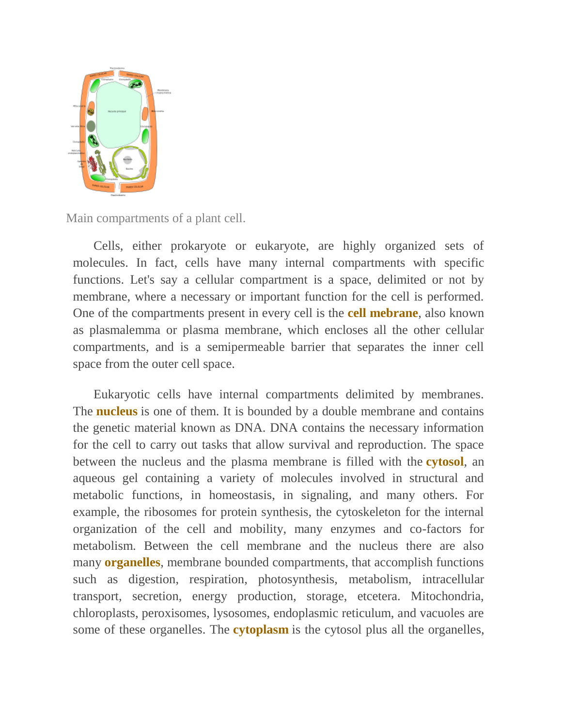

Main compartments of a plant cell.

Cells, either prokaryote or eukaryote, are highly organized sets of molecules. In fact, cells have many internal compartments with specific functions. Let's say a cellular compartment is a space, delimited or not by membrane, where a necessary or important function for the cell is performed. One of the compartments present in every cell is the **cell mebrane**, also known as plasmalemma or plasma membrane, which encloses all the other cellular compartments, and is a semipermeable barrier that separates the inner cell space from the outer cell space.

Eukaryotic cells have internal compartments delimited by membranes. The **nucleus** is one of them. It is bounded by a double membrane and contains the genetic material known as DNA. DNA contains the necessary information for the cell to carry out tasks that allow survival and reproduction. The space between the nucleus and the plasma membrane is filled with the **cytosol**, an aqueous gel containing a variety of molecules involved in structural and metabolic functions, in homeostasis, in signaling, and many others. For example, the ribosomes for protein synthesis, the cytoskeleton for the internal organization of the cell and mobility, many enzymes and co-factors for metabolism. Between the cell membrane and the nucleus there are also many **organelles**, membrane bounded compartments, that accomplish functions such as digestion, respiration, photosynthesis, metabolism, intracellular transport, secretion, energy production, storage, etcetera. Mitochondria, chloroplasts, peroxisomes, lysosomes, endoplasmic reticulum, and vacuoles are some of these organelles. The **cytoplasm** is the cytosol plus all the organelles,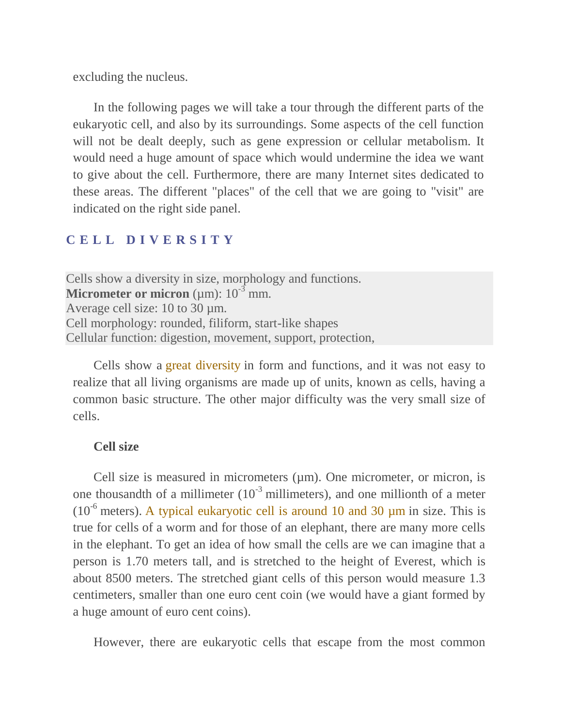excluding the nucleus.

In the following pages we will take a tour through the different parts of the eukaryotic cell, and also by its surroundings. Some aspects of the cell function will not be dealt deeply, such as gene expression or cellular metabolism. It would need a huge amount of space which would undermine the idea we want to give about the cell. Furthermore, there are many Internet sites dedicated to these areas. The different "places" of the cell that we are going to "visit" are indicated on the right side panel.

#### **C E L L D I V E R S I T Y**

Cells show a diversity in size, morphology and functions. **Micrometer or micron** ( $\mu$ m):  $10^{-3}$  mm. Average cell size: 10 to 30 µm. Cell morphology: rounded, filiform, start-like shapes Cellular function: digestion, movement, support, protection,

Cells show a great diversity in form and functions, and it was not easy to realize that all living organisms are made up of units, known as cells, having a common basic structure. The other major difficulty was the very small size of cells.

#### **Cell size**

Cell size is measured in micrometers ( $\mu$ m). One micrometer, or micron, is one thousandth of a millimeter  $(10^{-3}$  millimeters), and one millionth of a meter ( $10^{-6}$  meters). A typical eukaryotic cell is around 10 and 30  $\mu$ m in size. This is true for cells of a worm and for those of an elephant, there are many more cells in the elephant. To get an idea of how small the cells are we can imagine that a person is 1.70 meters tall, and is stretched to the height of Everest, which is about 8500 meters. The stretched giant cells of this person would measure 1.3 centimeters, smaller than one euro cent coin (we would have a giant formed by a huge amount of euro cent coins).

However, there are eukaryotic cells that escape from the most common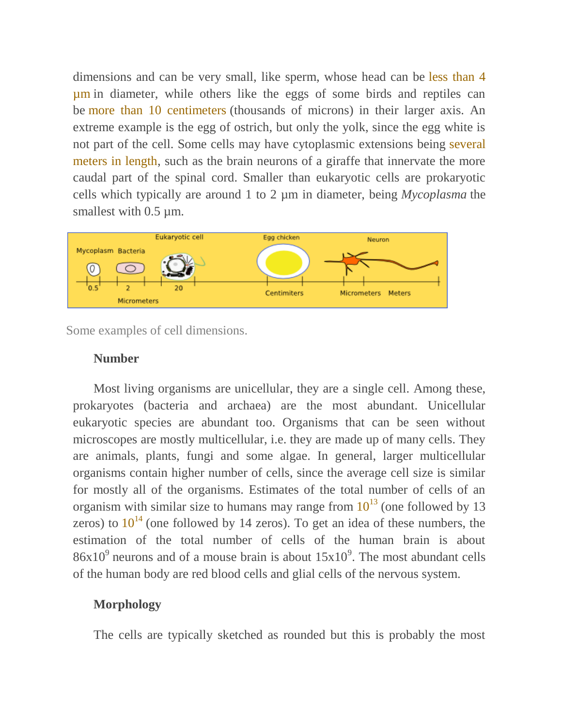dimensions and can be very small, like sperm, whose head can be less than 4 µm in diameter, while others like the eggs of some birds and reptiles can be more than 10 centimeters (thousands of microns) in their larger axis. An extreme example is the egg of ostrich, but only the yolk, since the egg white is not part of the cell. Some cells may have cytoplasmic extensions being several meters in length, such as the brain neurons of a giraffe that innervate the more caudal part of the spinal cord. Smaller than eukaryotic cells are prokaryotic cells which typically are around 1 to 2 µm in diameter, being *Mycoplasma* the smallest with 0.5  $\mu$ m.



Some examples of cell dimensions.

#### **Number**

Most living organisms are unicellular, they are a single cell. Among these, prokaryotes (bacteria and archaea) are the most abundant. Unicellular eukaryotic species are abundant too. Organisms that can be seen without microscopes are mostly multicellular, i.e. they are made up of many cells. They are animals, plants, fungi and some algae. In general, larger multicellular organisms contain higher number of cells, since the average cell size is similar for mostly all of the organisms. Estimates of the total number of cells of an organism with similar size to humans may range from  $10^{13}$  (one followed by 13) zeros) to  $10^{14}$  (one followed by 14 zeros). To get an idea of these numbers, the estimation of the total number of cells of the human brain is about  $86x10<sup>9</sup>$  neurons and of a mouse brain is about  $15x10<sup>9</sup>$ . The most abundant cells of the human body are red blood cells and glial cells of the nervous system.

#### **Morphology**

The cells are typically sketched as rounded but this is probably the most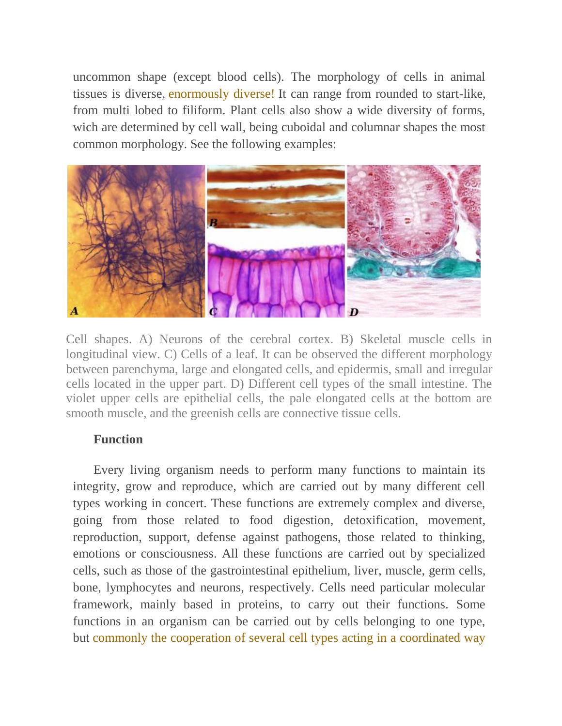uncommon shape (except blood cells). The morphology of cells in animal tissues is diverse, enormously diverse! It can range from rounded to start-like, from multi lobed to filiform. Plant cells also show a wide diversity of forms, wich are determined by cell wall, being cuboidal and columnar shapes the most common morphology. See the following examples:



Cell shapes. A) Neurons of the cerebral cortex. B) Skeletal muscle cells in longitudinal view. C) Cells of a leaf. It can be observed the different morphology between parenchyma, large and elongated cells, and epidermis, small and irregular cells located in the upper part. D) Different cell types of the small intestine. The violet upper cells are epithelial cells, the pale elongated cells at the bottom are smooth muscle, and the greenish cells are connective tissue cells.

### **Function**

Every living organism needs to perform many functions to maintain its integrity, grow and reproduce, which are carried out by many different cell types working in concert. These functions are extremely complex and diverse, going from those related to food digestion, detoxification, movement, reproduction, support, defense against pathogens, those related to thinking, emotions or consciousness. All these functions are carried out by specialized cells, such as those of the gastrointestinal epithelium, liver, muscle, germ cells, bone, lymphocytes and neurons, respectively. Cells need particular molecular framework, mainly based in proteins, to carry out their functions. Some functions in an organism can be carried out by cells belonging to one type, but commonly the cooperation of several cell types acting in a coordinated way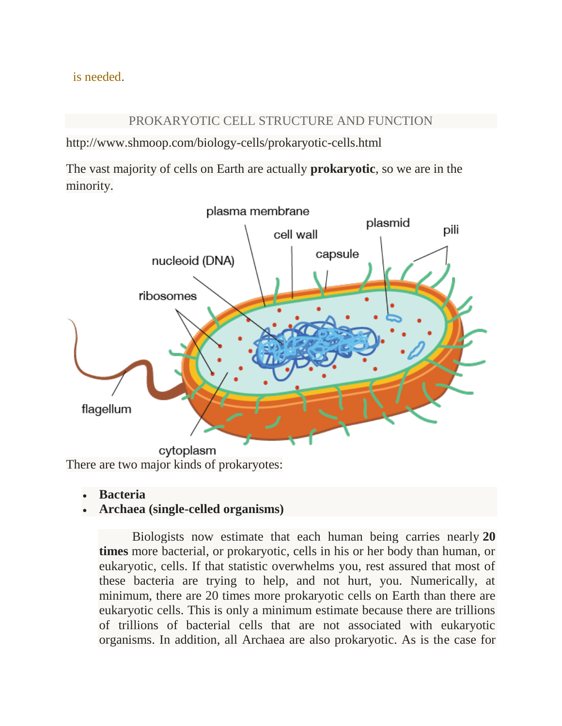is needed.

#### PROKARYOTIC CELL STRUCTURE AND FUNCTION

http://www.shmoop.com/biology-cells/prokaryotic-cells.html

The vast majority of cells on Earth are actually **prokaryotic**, so we are in the minority.



- **Bacteria**
- **Archaea (single-celled organisms)**

Biologists now estimate that each human being carries nearly **20 times** more bacterial, or prokaryotic, cells in his or her body than human, or eukaryotic, cells. If that statistic overwhelms you, rest assured that most of these bacteria are trying to help, and not hurt, you. Numerically, at minimum, there are 20 times more prokaryotic cells on Earth than there are eukaryotic cells. This is only a minimum estimate because there are trillions of trillions of bacterial cells that are not associated with eukaryotic organisms. In addition, all Archaea are also prokaryotic. As is the case for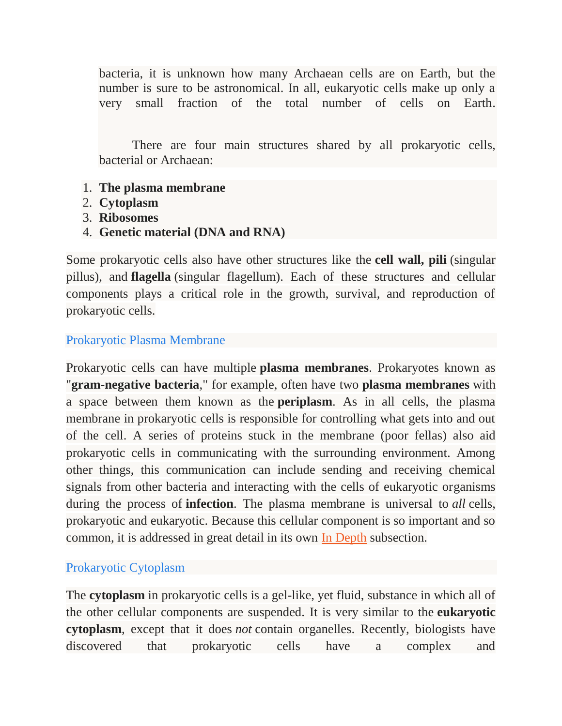bacteria, it is unknown how many Archaean cells are on Earth, but the number is sure to be astronomical. In all, eukaryotic cells make up only a very small fraction of the total number of cells on Earth.

There are four main structures shared by all prokaryotic cells, bacterial or Archaean:

- 1. **The plasma membrane**
- 2. **Cytoplasm**
- 3. **Ribosomes**
- 4. **Genetic material (DNA and RNA)**

Some prokaryotic cells also have other structures like the **cell wall, pili** (singular pillus), and **flagella** (singular flagellum). Each of these structures and cellular components plays a critical role in the growth, survival, and reproduction of prokaryotic cells.

### Prokaryotic Plasma Membrane

Prokaryotic cells can have multiple **plasma membranes**. Prokaryotes known as "**gram-negative bacteria**," for example, often have two **plasma membranes** with a space between them known as the **periplasm**. As in all cells, the plasma membrane in prokaryotic cells is responsible for controlling what gets into and out of the cell. A series of proteins stuck in the membrane (poor fellas) also aid prokaryotic cells in communicating with the surrounding environment. Among other things, this communication can include sending and receiving chemical signals from other bacteria and interacting with the cells of eukaryotic organisms during the process of **infection**. The plasma membrane is universal to *all* cells, prokaryotic and eukaryotic. Because this cellular component is so important and so common, it is addressed in great detail in its own [In Depth](http://www.shmoop.com/biology-cells/plasma-membrane.html) subsection.

### Prokaryotic Cytoplasm

The **cytoplasm** in prokaryotic cells is a gel-like, yet fluid, substance in which all of the other cellular components are suspended. It is very similar to the **eukaryotic cytoplasm**, except that it does *not* contain organelles. Recently, biologists have discovered that prokaryotic cells have a complex and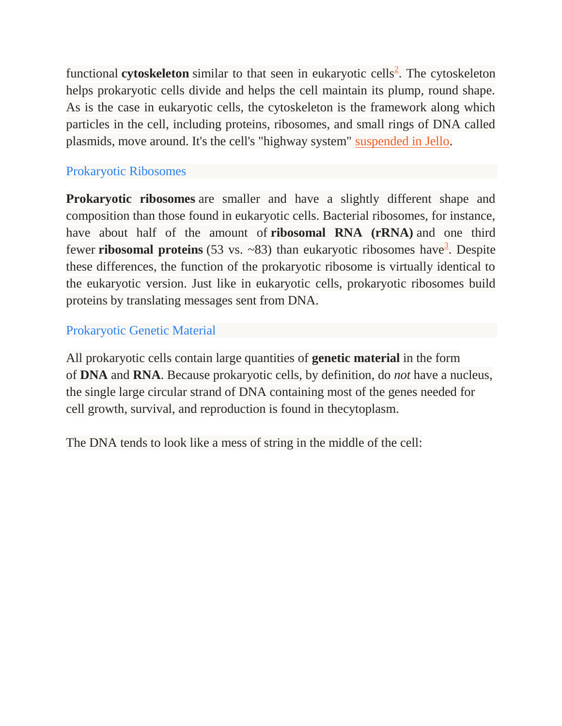functional **cytoskeleton** similar to that seen in eukaryotic cells<sup>[2](http://www.shmoop.com/biology-cells/citations.html#2)</sup>. The cytoskeleton helps prokaryotic cells divide and helps the cell maintain its plump, round shape. As is the case in eukaryotic cells, the cytoskeleton is the framework along which particles in the cell, including proteins, ribosomes, and small rings of DNA called plasmids, move around. It's the cell's "highway system" [suspended in Jello.](https://www.youtube.com/watch?v=AFNqUcRWGHg)

### Prokaryotic Ribosomes

**Prokaryotic ribosomes** are smaller and have a slightly different shape and composition than those found in eukaryotic cells. Bacterial ribosomes, for instance, have about half of the amount of **ribosomal RNA (rRNA)** and one third fewer **ribosomal proteins** (5[3](http://www.shmoop.com/biology-cells/citations.html#3) vs. ~83) than eukaryotic ribosomes have<sup>3</sup>. Despite these differences, the function of the prokaryotic ribosome is virtually identical to the eukaryotic version. Just like in eukaryotic cells, prokaryotic ribosomes build proteins by translating messages sent from DNA.

### Prokaryotic Genetic Material

All prokaryotic cells contain large quantities of **genetic material** in the form of **DNA** and **RNA**. Because prokaryotic cells, by definition, do *not* have a nucleus, the single large circular strand of DNA containing most of the genes needed for cell growth, survival, and reproduction is found in thecytoplasm.

The DNA tends to look like a mess of string in the middle of the cell: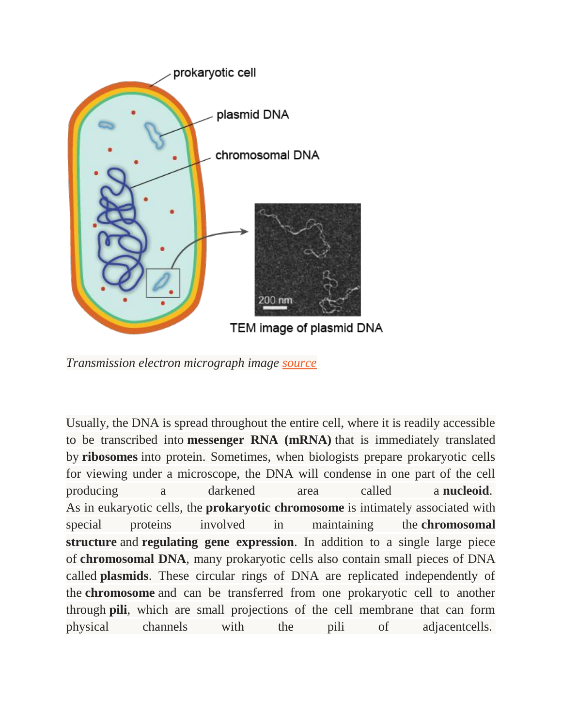

*Transmission electron micrograph image [source](http://www.ncbi.nlm.nih.gov/pmc/articles/PMC2094082/figure/F4/)*

Usually, the DNA is spread throughout the entire cell, where it is readily accessible to be transcribed into **messenger RNA (mRNA)** that is immediately translated by **ribosomes** into protein. Sometimes, when biologists prepare prokaryotic cells for viewing under a microscope, the DNA will condense in one part of the cell producing a darkened area called a **nucleoid**. As in eukaryotic cells, the **prokaryotic chromosome** is intimately associated with special proteins involved in maintaining the **chromosomal structure** and **regulating gene expression**. In addition to a single large piece of **chromosomal DNA**, many prokaryotic cells also contain small pieces of DNA called **plasmids**. These circular rings of DNA are replicated independently of the **chromosome** and can be transferred from one prokaryotic cell to another through **pili**, which are small projections of the cell membrane that can form physical channels with the pili of adjacentcells.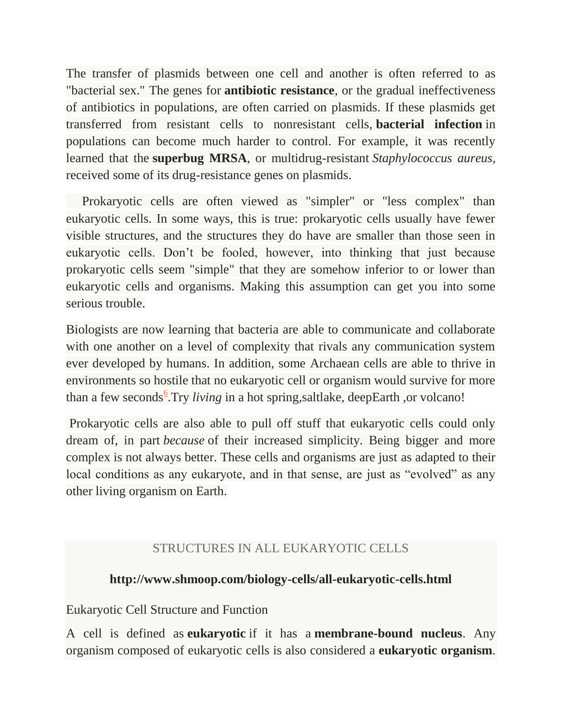The transfer of plasmids between one cell and another is often referred to as "bacterial sex." The genes for **antibiotic resistance**, or the gradual ineffectiveness of antibiotics in populations, are often carried on plasmids. If these plasmids get transferred from resistant cells to nonresistant cells, **bacterial infection** in populations can become much harder to control. For example, it was recently learned that the **superbug MRSA**, or multidrug-resistant *Staphylococcus aureus*, received some of its drug-resistance genes on plasmids.

 Prokaryotic cells are often viewed as "simpler" or "less complex" than eukaryotic cells. In some ways, this is true: prokaryotic cells usually have fewer visible structures, and the structures they do have are smaller than those seen in eukaryotic cells. Don't be fooled, however, into thinking that just because prokaryotic cells seem "simple" that they are somehow inferior to or lower than eukaryotic cells and organisms. Making this assumption can get you into some serious trouble.

Biologists are now learning that bacteria are able to communicate and collaborate with one another on a level of complexity that rivals any communication system ever developed by humans. In addition, some Archaean cells are able to thrive in environments so hostile that no eukaryotic cell or organism would survive for more than a few seconds<sup>[6](http://www.shmoop.com/biology-cells/citations.html#6)</sup>. Try *living* in a hot spring, saltlake, deepEarth, or volcano!

Prokaryotic cells are also able to pull off stuff that eukaryotic cells could only dream of, in part *because* of their increased simplicity. Being bigger and more complex is not always better. These cells and organisms are just as adapted to their local conditions as any eukaryote, and in that sense, are just as "evolved" as any other living organism on Earth.

# STRUCTURES IN ALL EUKARYOTIC CELLS

# **http://www.shmoop.com/biology-cells/all-eukaryotic-cells.html**

# Eukaryotic Cell Structure and Function

A cell is defined as **eukaryotic** if it has a **membrane-bound nucleus**. Any organism composed of eukaryotic cells is also considered a **eukaryotic organism**.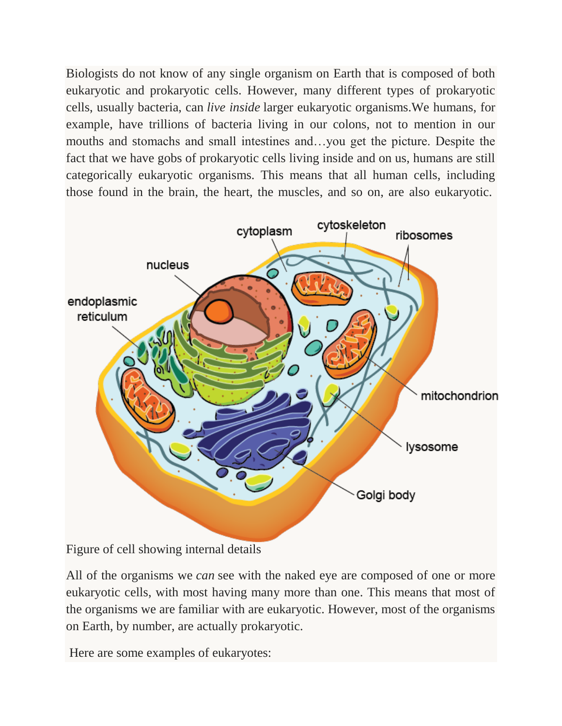Biologists do not know of any single organism on Earth that is composed of both eukaryotic and prokaryotic cells. However, many different types of prokaryotic cells, usually bacteria, can *live inside* larger eukaryotic organisms.We humans, for example, have trillions of bacteria living in our colons, not to mention in our mouths and stomachs and small intestines and…you get the picture. Despite the fact that we have gobs of prokaryotic cells living inside and on us, humans are still categorically eukaryotic organisms. This means that all human cells, including those found in the brain, the heart, the muscles, and so on, are also eukaryotic.



Figure of cell showing internal details

All of the organisms we *can* see with the naked eye are composed of one or more eukaryotic cells, with most having many more than one. This means that most of the organisms we are familiar with are eukaryotic. However, most of the organisms on Earth, by number, are actually prokaryotic.

Here are some examples of eukaryotes: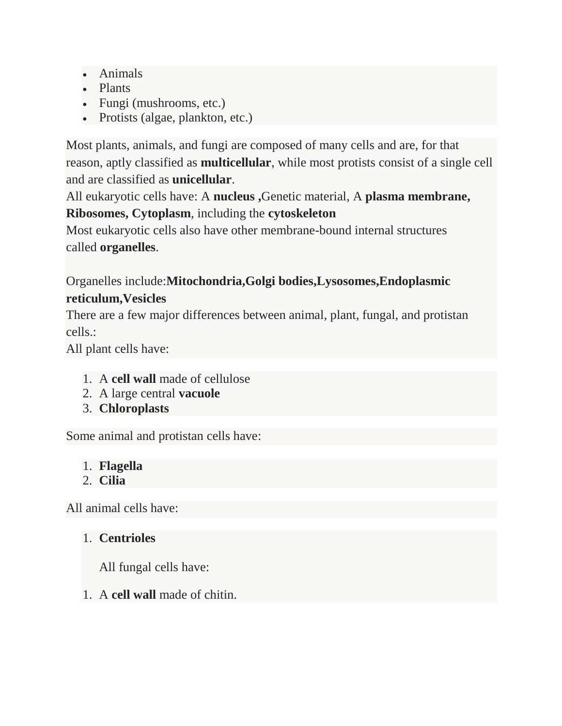- Animals
- Plants
- Fungi (mushrooms, etc.)
- Protists (algae, plankton, etc.)

Most plants, animals, and fungi are composed of many cells and are, for that reason, aptly classified as **multicellular**, while most protists consist of a single cell and are classified as **unicellular**.

All eukaryotic cells have: A **nucleus ,**Genetic material, A **plasma membrane, Ribosomes, Cytoplasm**, including the **cytoskeleton**

Most eukaryotic cells also have other membrane-bound internal structures called **organelles**.

# Organelles include:**Mitochondria,Golgi bodies,Lysosomes,Endoplasmic reticulum,Vesicles**

There are a few major differences between animal, plant, fungal, and protistan cells.:

All plant cells have:

- 1. A **cell wall** made of cellulose
- 2. A large central **vacuole**
- 3. **Chloroplasts**

Some animal and protistan cells have:

- 1. **Flagella**
- 2. **Cilia**

All animal cells have:

# 1. **Centrioles**

All fungal cells have:

1. A **cell wall** made of chitin.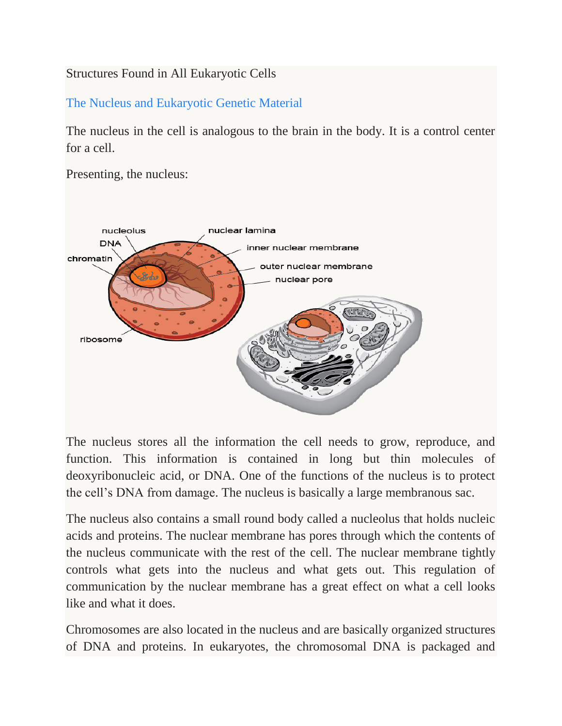# Structures Found in All Eukaryotic Cells

The Nucleus and Eukaryotic Genetic Material

The nucleus in the cell is analogous to the brain in the body. It is a control center for a cell.

Presenting, the nucleus:



The nucleus stores all the information the cell needs to grow, reproduce, and function. This information is contained in long but thin molecules of deoxyribonucleic acid, or DNA. One of the functions of the nucleus is to protect the cell's DNA from damage. The nucleus is basically a large membranous sac.

The nucleus also contains a small round body called a nucleolus that holds nucleic acids and proteins. The nuclear membrane has pores through which the contents of the nucleus communicate with the rest of the cell. The nuclear membrane tightly controls what gets into the nucleus and what gets out. This regulation of communication by the nuclear membrane has a great effect on what a cell looks like and what it does.

Chromosomes are also located in the nucleus and are basically organized structures of DNA and proteins. In eukaryotes, the chromosomal DNA is packaged and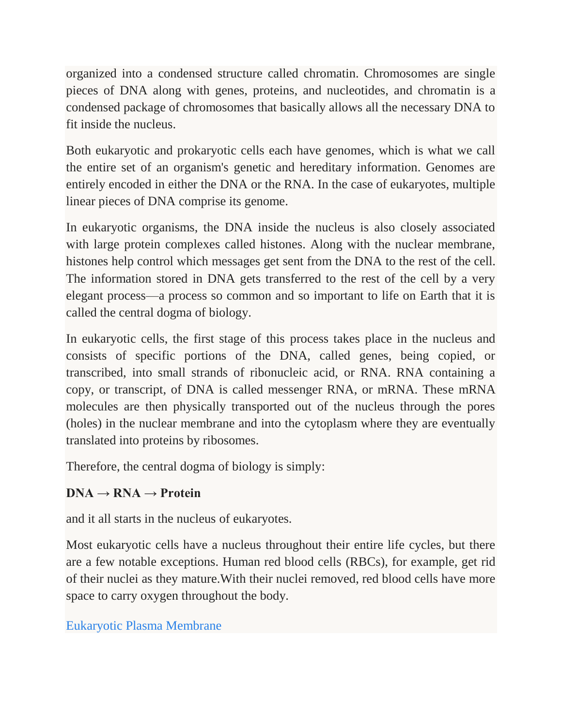organized into a condensed structure called chromatin. Chromosomes are single pieces of DNA along with genes, proteins, and nucleotides, and chromatin is a condensed package of chromosomes that basically allows all the necessary DNA to fit inside the nucleus.

Both eukaryotic and prokaryotic cells each have genomes, which is what we call the entire set of an organism's genetic and hereditary information. Genomes are entirely encoded in either the DNA or the RNA. In the case of eukaryotes, multiple linear pieces of DNA comprise its genome.

In eukaryotic organisms, the DNA inside the nucleus is also closely associated with large protein complexes called histones. Along with the nuclear membrane, histones help control which messages get sent from the DNA to the rest of the cell. The information stored in DNA gets transferred to the rest of the cell by a very elegant process—a process so common and so important to life on Earth that it is called the central dogma of biology.

In eukaryotic cells, the first stage of this process takes place in the nucleus and consists of specific portions of the DNA, called genes, being copied, or transcribed, into small strands of ribonucleic acid, or RNA. RNA containing a copy, or transcript, of DNA is called messenger RNA, or mRNA. These mRNA molecules are then physically transported out of the nucleus through the pores (holes) in the nuclear membrane and into the cytoplasm where they are eventually translated into proteins by ribosomes.

Therefore, the central dogma of biology is simply:

# $DNA \rightarrow RNA \rightarrow Protein$

and it all starts in the nucleus of eukaryotes.

Most eukaryotic cells have a nucleus throughout their entire life cycles, but there are a few notable exceptions. Human red blood cells (RBCs), for example, get rid of their nuclei as they mature.With their nuclei removed, red blood cells have more space to carry oxygen throughout the body.

# Eukaryotic Plasma Membrane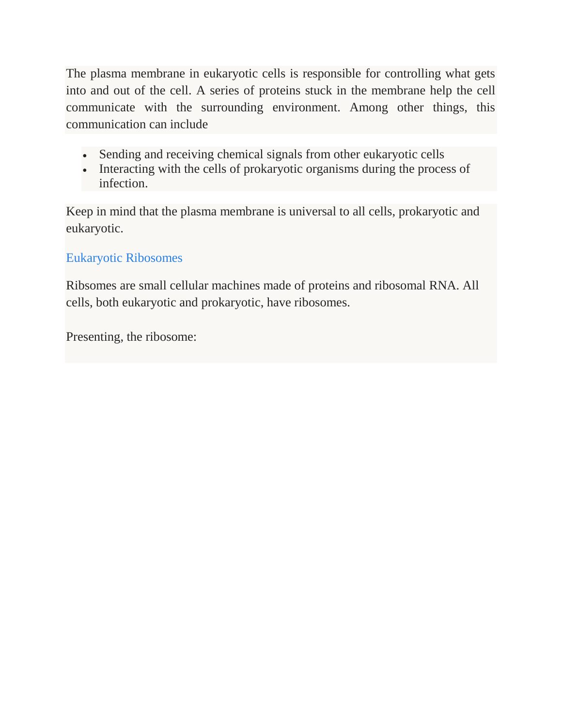The plasma membrane in eukaryotic cells is responsible for controlling what gets into and out of the cell. A series of proteins stuck in the membrane help the cell communicate with the surrounding environment. Among other things, this communication can include

- Sending and receiving chemical signals from other eukaryotic cells
- Interacting with the cells of prokaryotic organisms during the process of infection.

Keep in mind that the plasma membrane is universal to all cells, prokaryotic and eukaryotic.

# Eukaryotic Ribosomes

Ribsomes are small cellular machines made of proteins and ribosomal RNA. All cells, both eukaryotic and prokaryotic, have ribosomes.

Presenting, the ribosome: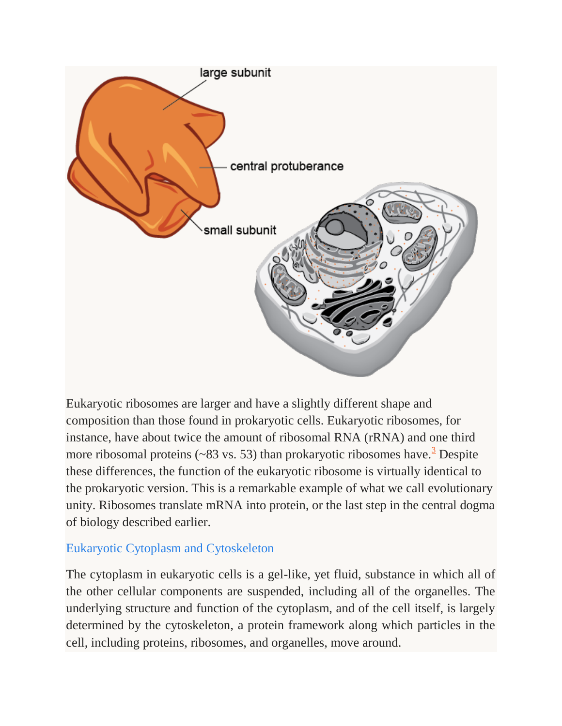

Eukaryotic ribosomes are larger and have a slightly different shape and composition than those found in prokaryotic cells. Eukaryotic ribosomes, for instance, have about twice the amount of ribosomal RNA (rRNA) and one third more ribosomal proteins ( $\sim$ 8[3](http://www.shmoop.com/biology-cells/citations.html#3) vs. 53) than prokaryotic ribosomes have.<sup>3</sup> Despite these differences, the function of the eukaryotic ribosome is virtually identical to the prokaryotic version. This is a remarkable example of what we call evolutionary unity. Ribosomes translate mRNA into protein, or the last step in the central dogma of biology described earlier.

# Eukaryotic Cytoplasm and Cytoskeleton

The cytoplasm in eukaryotic cells is a gel-like, yet fluid, substance in which all of the other cellular components are suspended, including all of the organelles. The underlying structure and function of the cytoplasm, and of the cell itself, is largely determined by the cytoskeleton, a protein framework along which particles in the cell, including proteins, ribosomes, and organelles, move around.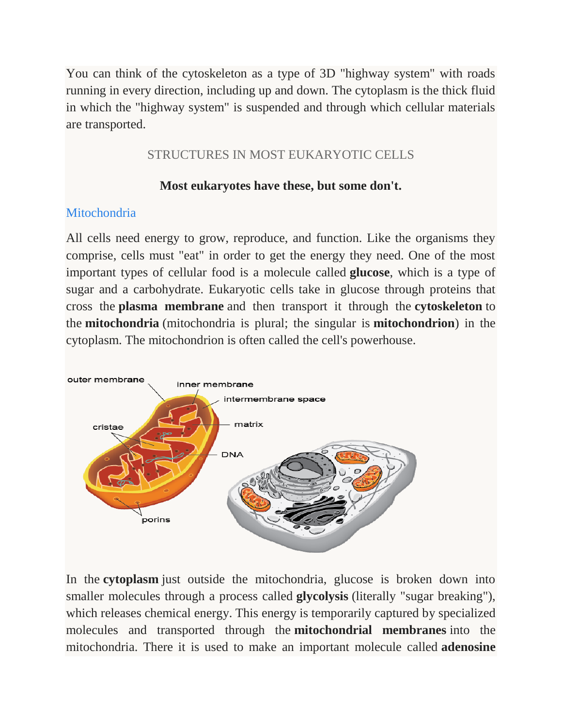You can think of the cytoskeleton as a type of 3D "highway system" with roads running in every direction, including up and down. The cytoplasm is the thick fluid in which the "highway system" is suspended and through which cellular materials are transported.

# STRUCTURES IN MOST EUKARYOTIC CELLS

# **Most eukaryotes have these, but some don't.**

### **Mitochondria**

All cells need energy to grow, reproduce, and function. Like the organisms they comprise, cells must "eat" in order to get the energy they need. One of the most important types of cellular food is a molecule called **glucose**, which is a type of sugar and a carbohydrate. Eukaryotic cells take in glucose through proteins that cross the **plasma membrane** and then transport it through the **cytoskeleton** to the **mitochondria** (mitochondria is plural; the singular is **mitochondrion**) in the cytoplasm. The mitochondrion is often called the cell's powerhouse.



In the **cytoplasm** just outside the mitochondria, glucose is broken down into smaller molecules through a process called **glycolysis** (literally "sugar breaking"), which releases chemical energy. This energy is temporarily captured by specialized molecules and transported through the **mitochondrial membranes** into the mitochondria. There it is used to make an important molecule called **adenosine**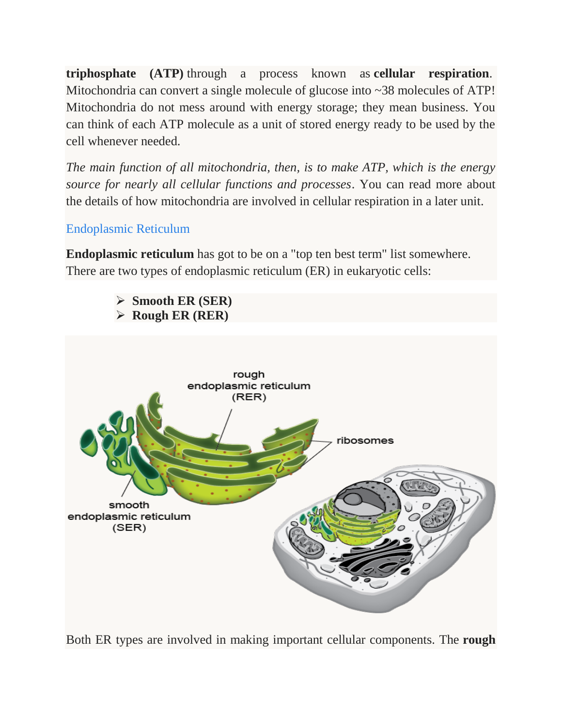**triphosphate (ATP)** through a process known as **cellular respiration**. Mitochondria can convert a single molecule of glucose into ~38 molecules of ATP! Mitochondria do not mess around with energy storage; they mean business. You can think of each ATP molecule as a unit of stored energy ready to be used by the cell whenever needed.

*The main function of all mitochondria, then, is to make ATP, which is the energy source for nearly all cellular functions and processes*. You can read more about the details of how mitochondria are involved in cellular respiration in a later unit.

# Endoplasmic Reticulum

**Endoplasmic reticulum** has got to be on a "top ten best term" list somewhere. There are two types of endoplasmic reticulum (ER) in eukaryotic cells:



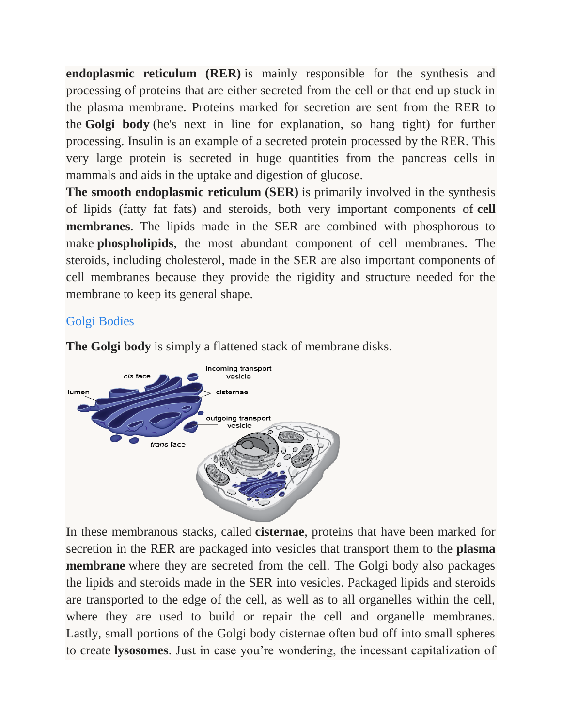**endoplasmic reticulum (RER)** is mainly responsible for the synthesis and processing of proteins that are either secreted from the cell or that end up stuck in the plasma membrane. Proteins marked for secretion are sent from the RER to the **Golgi body** (he's next in line for explanation, so hang tight) for further processing. Insulin is an example of a secreted protein processed by the RER. This very large protein is secreted in huge quantities from the pancreas cells in mammals and aids in the uptake and digestion of glucose.

**The smooth endoplasmic reticulum (SER)** is primarily involved in the synthesis of lipids (fatty fat fats) and steroids, both very important components of **cell membranes**. The lipids made in the SER are combined with phosphorous to make **phospholipids**, the most abundant component of cell membranes. The steroids, including cholesterol, made in the SER are also important components of cell membranes because they provide the rigidity and structure needed for the membrane to keep its general shape.

# Golgi Bodies



**The Golgi body** is simply a flattened stack of membrane disks.

In these membranous stacks, called **cisternae**, proteins that have been marked for secretion in the RER are packaged into vesicles that transport them to the **plasma membrane** where they are secreted from the cell. The Golgi body also packages the lipids and steroids made in the SER into vesicles. Packaged lipids and steroids are transported to the edge of the cell, as well as to all organelles within the cell, where they are used to build or repair the cell and organelle membranes. Lastly, small portions of the Golgi body cisternae often bud off into small spheres to create **lysosomes**. Just in case you're wondering, the incessant capitalization of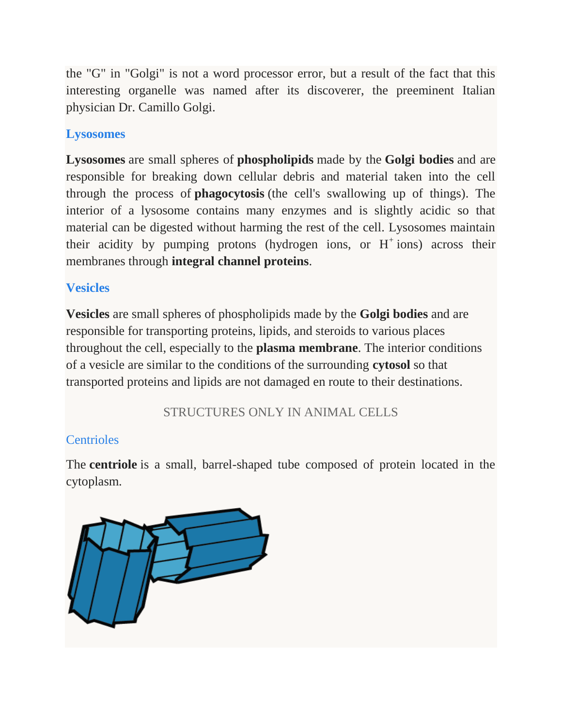the "G" in "Golgi" is not a word processor error, but a result of the fact that this interesting organelle was named after its discoverer, the preeminent Italian physician Dr. Camillo Golgi.

# **Lysosomes**

**Lysosomes** are small spheres of **phospholipids** made by the **Golgi bodies** and are responsible for breaking down cellular debris and material taken into the cell through the process of **phagocytosis** (the cell's swallowing up of things). The interior of a lysosome contains many enzymes and is slightly acidic so that material can be digested without harming the rest of the cell. Lysosomes maintain their acidity by pumping protons (hydrogen ions, or  $H^+$  ions) across their membranes through **integral channel proteins**.

# **Vesicles**

**Vesicles** are small spheres of phospholipids made by the **Golgi bodies** and are responsible for transporting proteins, lipids, and steroids to various places throughout the cell, especially to the **plasma membrane**. The interior conditions of a vesicle are similar to the conditions of the surrounding **cytosol** so that transported proteins and lipids are not damaged en route to their destinations.

STRUCTURES ONLY IN ANIMAL CELLS

# **Centrioles**

The **centriole** is a small, barrel-shaped tube composed of protein located in the cytoplasm.

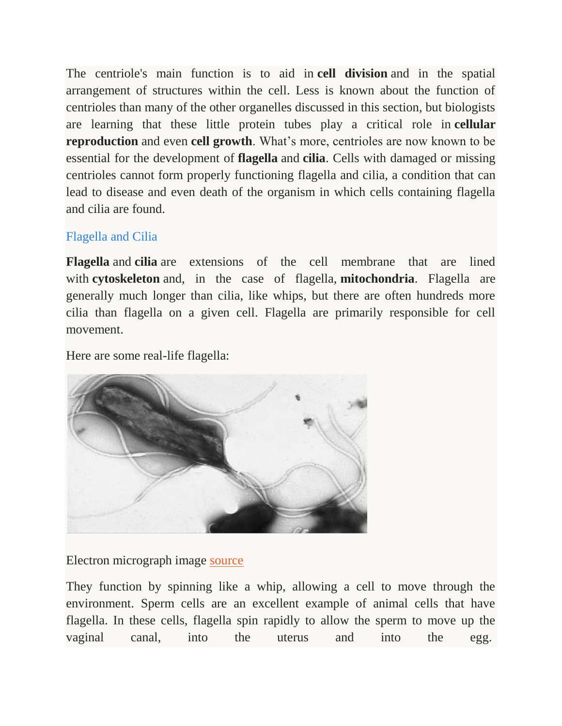The centriole's main function is to aid in **cell division** and in the spatial arrangement of structures within the cell. Less is known about the function of centrioles than many of the other organelles discussed in this section, but biologists are learning that these little protein tubes play a critical role in **cellular reproduction** and even **cell growth**. What's more, centrioles are now known to be essential for the development of **flagella** and **cilia**. Cells with damaged or missing centrioles cannot form properly functioning flagella and cilia, a condition that can lead to disease and even death of the organism in which cells containing flagella and cilia are found.

# Flagella and Cilia

**Flagella** and **cilia** are extensions of the cell membrane that are lined with **cytoskeleton** and, in the case of flagella, **mitochondria**. Flagella are generally much longer than cilia, like whips, but there are often hundreds more cilia than flagella on a given cell. Flagella are primarily responsible for cell movement.

Here are some real-life flagella:



Electron micrograph image [source](http://info.fujita-hu.ac.jp/~tsutsumi/photo/photo002-6.htm)

They function by spinning like a whip, allowing a cell to move through the environment. Sperm cells are an excellent example of animal cells that have flagella. In these cells, flagella spin rapidly to allow the sperm to move up the vaginal canal, into the uterus and into the egg.